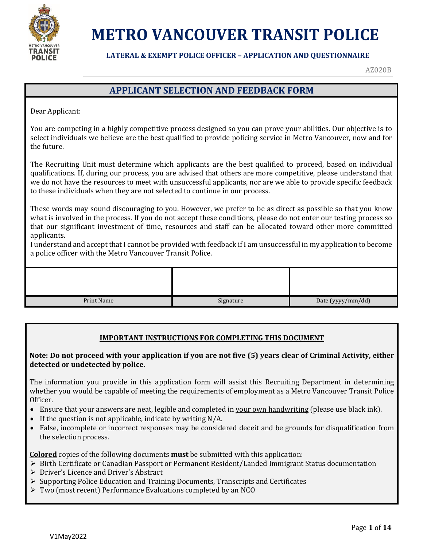

#### **LATERAL & EXEMPT POLICE OFFICER – APPLICATION AND QUESTIONNAIRE**

AZ020B

### **APPLICANT SELECTION AND FEEDBACK FORM**

Dear Applicant:

You are competing in a highly competitive process designed so you can prove your abilities. Our objective is to select individuals we believe are the best qualified to provide policing service in Metro Vancouver, now and for the future.

The Recruiting Unit must determine which applicants are the best qualified to proceed, based on individual qualifications. If, during our process, you are advised that others are more competitive, please understand that we do not have the resources to meet with unsuccessful applicants, nor are we able to provide specific feedback to these individuals when they are not selected to continue in our process.

These words may sound discouraging to you. However, we prefer to be as direct as possible so that you know what is involved in the process. If you do not accept these conditions, please do not enter our testing process so that our significant investment of time, resources and staff can be allocated toward other more committed applicants.

I understand and accept that I cannot be provided with feedback if I am unsuccessful in my application to become a police officer with the Metro Vancouver Transit Police.

| Print Name | Signature | Date (yyyy/mm/dd) |
|------------|-----------|-------------------|

#### **IMPORTANT INSTRUCTIONS FOR COMPLETING THIS DOCUMENT**

#### **Note: Do not proceed with your application if you are not five (5) years clear of Criminal Activity, either detected or undetected by police.**

The information you provide in this application form will assist this Recruiting Department in determining whether you would be capable of meeting the requirements of employment as a Metro Vancouver Transit Police Officer.

- Ensure that your answers are neat, legible and completed in your own handwriting (please use black ink).
- If the question is not applicable, indicate by writing  $N/A$ .
- False, incomplete or incorrect responses may be considered deceit and be grounds for disqualification from the selection process.

**Colored** copies of the following documents **must** be submitted with this application:

- $\triangleright$  Birth Certificate or Canadian Passport or Permanent Resident/Landed Immigrant Status documentation
- Driver's Licence and Driver's Abstract
- Supporting Police Education and Training Documents, Transcripts and Certificates
- Two (most recent) Performance Evaluations completed by an NCO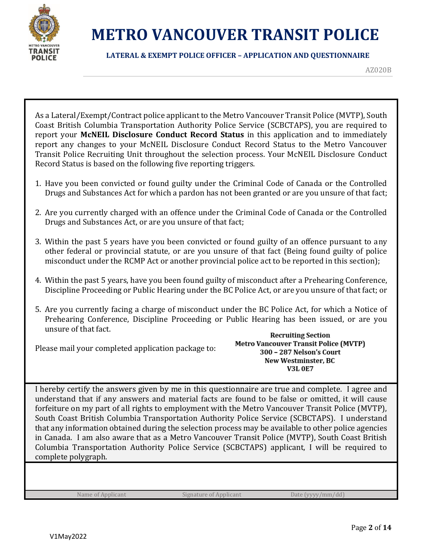

#### **LATERAL & EXEMPT POLICE OFFICER – APPLICATION AND QUESTIONNAIRE**

AZ020B

As a Lateral/Exempt/Contract police applicant to the Metro Vancouver Transit Police (MVTP), South Coast British Columbia Transportation Authority Police Service (SCBCTAPS), you are required to report your **McNEIL Disclosure Conduct Record Status** in this application and to immediately report any changes to your McNEIL Disclosure Conduct Record Status to the Metro Vancouver Transit Police Recruiting Unit throughout the selection process. Your McNEIL Disclosure Conduct Record Status is based on the following five reporting triggers.

- 1. Have you been convicted or found guilty under the Criminal Code of Canada or the Controlled Drugs and Substances Act for which a pardon has not been granted or are you unsure of that fact;
- 2. Are you currently charged with an offence under the Criminal Code of Canada or the Controlled Drugs and Substances Act, or are you unsure of that fact;
- 3. Within the past 5 years have you been convicted or found guilty of an offence pursuant to any other federal or provincial statute, or are you unsure of that fact (Being found guilty of police misconduct under the RCMP Act or another provincial police act to be reported in this section);
- 4. Within the past 5 years, have you been found guilty of misconduct after a Prehearing Conference, Discipline Proceeding or Public Hearing under the BC Police Act, or are you unsure of that fact; or
- 5. Are you currently facing a charge of misconduct under the BC Police Act, for which a Notice of Prehearing Conference, Discipline Proceeding or Public Hearing has been issued, or are you unsure of that fact.

Please mail your completed application package to:

**Recruiting Section Metro Vancouver Transit Police (MVTP)** 300 - 287 Nelson's Court New Westminster, BC **V3L 0E7** 

I hereby certify the answers given by me in this questionnaire are true and complete. I agree and understand that if any answers and material facts are found to be false or omitted, it will cause forfeiture on my part of all rights to employment with the Metro Vancouver Transit Police (MVTP), South Coast British Columbia Transportation Authority Police Service (SCBCTAPS). I understand that any information obtained during the selection process may be available to other police agencies in Canada. I am also aware that as a Metro Vancouver Transit Police (MVTP), South Coast British Columbia Transportation Authority Police Service (SCBCTAPS) applicant, I will be required to complete polygraph.

Name of Applicant Signature of Applicant Date (yyyy/mm/dd)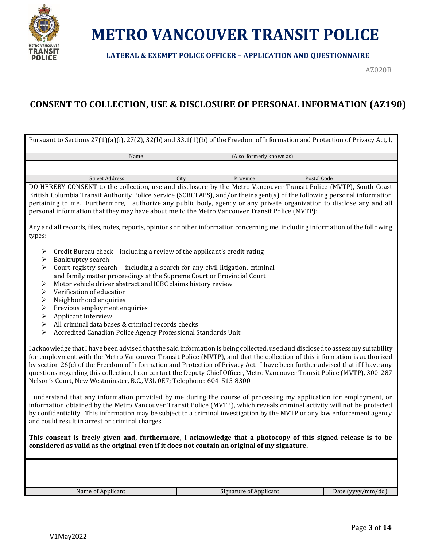

**LATERAL & EXEMPT POLICE OFFICER – APPLICATION AND QUESTIONNAIRE**

AZ020B

### **CONSENT TO COLLECTION, USE & DISCLOSURE OF PERSONAL INFORMATION (AZ190)**

| Pursuant to Sections 27(1)(a)(i), 27(2), 32(b) and 33.1(1)(b) of the Freedom of Information and Protection of Privacy Act, I,                                                                                                                                                                                                                                                                                                                                                                                                                                                                                                                                                                                                                                                                                                                                                                                            |      |                               |                   |  |  |
|--------------------------------------------------------------------------------------------------------------------------------------------------------------------------------------------------------------------------------------------------------------------------------------------------------------------------------------------------------------------------------------------------------------------------------------------------------------------------------------------------------------------------------------------------------------------------------------------------------------------------------------------------------------------------------------------------------------------------------------------------------------------------------------------------------------------------------------------------------------------------------------------------------------------------|------|-------------------------------|-------------------|--|--|
| Name                                                                                                                                                                                                                                                                                                                                                                                                                                                                                                                                                                                                                                                                                                                                                                                                                                                                                                                     |      | (Also formerly known as)      |                   |  |  |
|                                                                                                                                                                                                                                                                                                                                                                                                                                                                                                                                                                                                                                                                                                                                                                                                                                                                                                                          |      |                               |                   |  |  |
| <b>Street Address</b>                                                                                                                                                                                                                                                                                                                                                                                                                                                                                                                                                                                                                                                                                                                                                                                                                                                                                                    | City | Province                      | Postal Code       |  |  |
| DO HEREBY CONSENT to the collection, use and disclosure by the Metro Vancouver Transit Police (MVTP), South Coast<br>British Columbia Transit Authority Police Service (SCBCTAPS), and/or their agent(s) of the following personal information<br>pertaining to me. Furthermore, I authorize any public body, agency or any private organization to disclose any and all<br>personal information that they may have about me to the Metro Vancouver Transit Police (MVTP):                                                                                                                                                                                                                                                                                                                                                                                                                                               |      |                               |                   |  |  |
| Any and all records, files, notes, reports, opinions or other information concerning me, including information of the following<br>types:                                                                                                                                                                                                                                                                                                                                                                                                                                                                                                                                                                                                                                                                                                                                                                                |      |                               |                   |  |  |
| Credit Bureau check - including a review of the applicant's credit rating<br>➤<br>Bankruptcy search<br>➤<br>Court registry search - including a search for any civil litigation, criminal<br>⋗<br>and family matter proceedings at the Supreme Court or Provincial Court<br>Motor vehicle driver abstract and ICBC claims history review<br>➤<br>Verification of education<br>➤<br>Neighborhood enquiries<br>$\blacktriangleright$<br>Previous employment enquiries<br>➤<br>Applicant Interview<br>$\blacktriangleright$<br>All criminal data bases & criminal records checks<br>➤<br>Accredited Canadian Police Agency Professional Standards Unit<br>➤<br>I acknowledge that I have been advised that the said information is being collected, used and disclosed to assess my suitability<br>for employment with the Metro Vancouver Transit Police (MVTP), and that the collection of this information is authorized |      |                               |                   |  |  |
| by section 26(c) of the Freedom of Information and Protection of Privacy Act. I have been further advised that if I have any<br>questions regarding this collection, I can contact the Deputy Chief Officer, Metro Vancouver Transit Police (MVTP), 300-287<br>Nelson's Court, New Westminster, B.C., V3L 0E7; Telephone: 604-515-8300.                                                                                                                                                                                                                                                                                                                                                                                                                                                                                                                                                                                  |      |                               |                   |  |  |
| I understand that any information provided by me during the course of processing my application for employment, or<br>information obtained by the Metro Vancouver Transit Police (MVTP), which reveals criminal activity will not be protected<br>by confidentiality. This information may be subject to a criminal investigation by the MVTP or any law enforcement agency<br>and could result in arrest or criminal charges.                                                                                                                                                                                                                                                                                                                                                                                                                                                                                           |      |                               |                   |  |  |
| This consent is freely given and, furthermore, I acknowledge that a photocopy of this signed release is to be<br>considered as valid as the original even if it does not contain an original of my signature.                                                                                                                                                                                                                                                                                                                                                                                                                                                                                                                                                                                                                                                                                                            |      |                               |                   |  |  |
|                                                                                                                                                                                                                                                                                                                                                                                                                                                                                                                                                                                                                                                                                                                                                                                                                                                                                                                          |      |                               |                   |  |  |
| Name of Applicant                                                                                                                                                                                                                                                                                                                                                                                                                                                                                                                                                                                                                                                                                                                                                                                                                                                                                                        |      | <b>Signature of Applicant</b> | Date (yyyy/mm/dd) |  |  |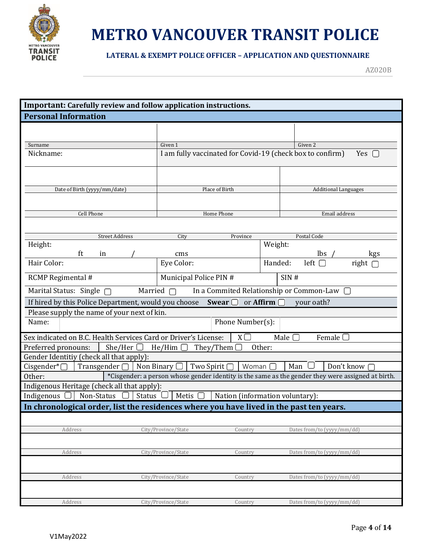

#### **LATERAL & EXEMPT POLICE OFFICER – APPLICATION AND QUESTIONNAIRE**

| Important: Carefully review and follow application instructions.                        |                                                                                                   |                                 |                  |                                            |              |
|-----------------------------------------------------------------------------------------|---------------------------------------------------------------------------------------------------|---------------------------------|------------------|--------------------------------------------|--------------|
| <b>Personal Information</b>                                                             |                                                                                                   |                                 |                  |                                            |              |
|                                                                                         |                                                                                                   |                                 |                  |                                            |              |
|                                                                                         | Given 1                                                                                           |                                 |                  | Given 2                                    |              |
| Surname<br>Nickname:                                                                    | I am fully vaccinated for Covid-19 (check box to confirm)                                         |                                 |                  |                                            | Yes $\Box$   |
|                                                                                         |                                                                                                   |                                 |                  |                                            |              |
|                                                                                         |                                                                                                   |                                 |                  |                                            |              |
|                                                                                         |                                                                                                   |                                 |                  |                                            |              |
| Date of Birth (yyyy/mm/date)                                                            |                                                                                                   | Place of Birth                  |                  | <b>Additional Languages</b>                |              |
|                                                                                         |                                                                                                   |                                 |                  |                                            |              |
| Cell Phone                                                                              |                                                                                                   | Home Phone                      |                  | Email address                              |              |
|                                                                                         |                                                                                                   |                                 |                  |                                            |              |
| <b>Street Address</b>                                                                   | City                                                                                              | Province                        |                  | Postal Code                                |              |
| Height:                                                                                 |                                                                                                   |                                 | Weight:          |                                            |              |
| ft<br>in<br>Hair Color:                                                                 | cms                                                                                               |                                 |                  | lbs                                        | kgs          |
|                                                                                         | Eye Color:                                                                                        |                                 | Handed:          | left $\Box$                                | right [      |
| RCMP Regimental #                                                                       | Municipal Police PIN #<br>SIN#                                                                    |                                 |                  |                                            |              |
| Marital Status: Single $\Box$                                                           | Married $\Box$                                                                                    |                                 |                  | In a Commited Relationship or Common-Law □ |              |
| If hired by this Police Department, would you choose                                    |                                                                                                   | Swear $\Box$                    | or Affirm $\Box$ | your oath?                                 |              |
| Please supply the name of your next of kin.                                             |                                                                                                   |                                 |                  |                                            |              |
| Name:                                                                                   |                                                                                                   | Phone Number(s):                |                  |                                            |              |
| Sex indicated on B.C. Health Services Card or Driver's License:                         |                                                                                                   | $X\square$                      | Male $\Box$      | Female $\Box$                              |              |
| Preferred pronouns:<br>She/Her $\Box$                                                   | $He/H$ im $\Box$                                                                                  | They/Them $\Box$                | Other:           |                                            |              |
| Gender Identitiy (check all that apply):                                                |                                                                                                   |                                 |                  |                                            |              |
| Transgender $\Box$ Non Binary $\Box$ Two Spirit $\Box$<br>Cisgender* $\Box$             |                                                                                                   | Woman $\Box$                    | Man              |                                            | Don't know [ |
| Other:                                                                                  | *Cisgender: a person whose gender identity is the same as the gender they were assigned at birth. |                                 |                  |                                            |              |
| Indigenous Heritage (check all that apply):                                             |                                                                                                   |                                 |                  |                                            |              |
| Status L<br>Indigenous<br>Non-Status                                                    | Metis $\Box$                                                                                      | Nation (information voluntary): |                  |                                            |              |
| In chronological order, list the residences where you have lived in the past ten years. |                                                                                                   |                                 |                  |                                            |              |
|                                                                                         |                                                                                                   |                                 |                  |                                            |              |
| Address                                                                                 | City/Province/State                                                                               | Country                         |                  | Dates from/to (yyyy/mm/dd)                 |              |
|                                                                                         |                                                                                                   |                                 |                  |                                            |              |
| Address                                                                                 | City/Province/State                                                                               | Country                         |                  | Dates from/to (yyyy/mm/dd)                 |              |
|                                                                                         |                                                                                                   |                                 |                  |                                            |              |
| Address                                                                                 | City/Province/State                                                                               | Country                         |                  | Dates from/to (yyyy/mm/dd)                 |              |
|                                                                                         |                                                                                                   |                                 |                  |                                            |              |
| Address                                                                                 | City/Province/State                                                                               | Country                         |                  | Dates from/to (yyyy/mm/dd)                 |              |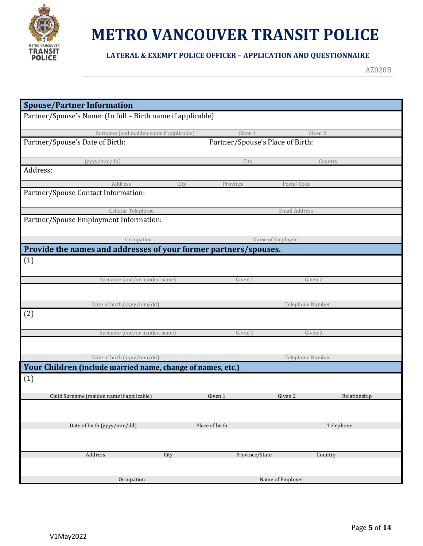

**LATERAL & EXEMPT POLICE OFFICER – APPLICATION AND QUESTIONNAIRE**

| <b>Spouse/Partner Information</b>                                  |                                  |                  |              |
|--------------------------------------------------------------------|----------------------------------|------------------|--------------|
| Partner/Spouse's Name: (In full - Birth name if applicable)        |                                  |                  |              |
| Surname (and maiden name if applicable)                            | Given 1                          | Given 2          |              |
| Partner/Spouse's Date of Birth:                                    | Partner/Spouse's Place of Birth: |                  |              |
| (yyyy/mm/dd)                                                       | City                             | Country          |              |
| Address:                                                           |                                  |                  |              |
| Address<br>City<br>Partner/Spouse Contact Information:             | Province                         | Postal Code      |              |
| Cellular Telephone                                                 |                                  | Email Address    |              |
| Partner/Spouse Employment Information:                             |                                  |                  |              |
| Occupation                                                         |                                  | Name of Employer |              |
| Provide the names and addresses of your former partners/spouses.   |                                  |                  |              |
| (1)                                                                |                                  |                  |              |
| Surname (and/or maiden name)                                       | Given 1                          | Given 2          |              |
|                                                                    |                                  |                  |              |
| Date of birth (yyyy/mm/dd)                                         |                                  | Telephone Number |              |
| (2)                                                                |                                  |                  |              |
| Surname (and/or maiden name)                                       | Given 1                          | Given 2          |              |
| Date of birth (yyyy/mm/dd)                                         |                                  | Telephone Number |              |
|                                                                    |                                  |                  |              |
| Your Children (include married name, change of names, etc.)<br>(1) |                                  |                  |              |
| Child Surname (maiden name if applicable)                          | Given 1                          | Given 2          | Relationship |
|                                                                    |                                  |                  |              |
| Date of birth (yyyy/mm/dd)                                         | Place of birth                   |                  | Telephone    |
|                                                                    |                                  |                  |              |
| Address<br>City                                                    | Province/State                   | Country          |              |
|                                                                    |                                  |                  |              |
| Occupation                                                         |                                  | Name of Employer |              |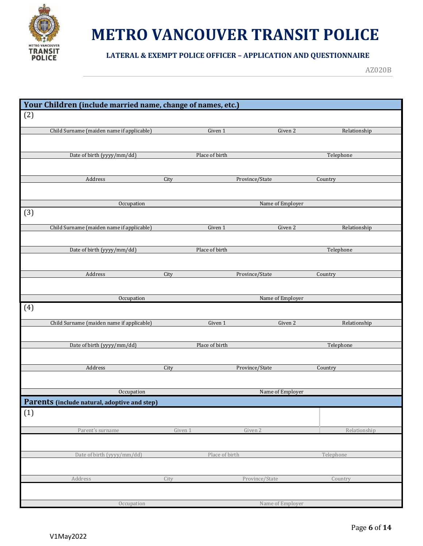

#### **LATERAL & EXEMPT POLICE OFFICER – APPLICATION AND QUESTIONNAIRE**

| Your Children (include married name, change of names, etc.) |                |                  |              |
|-------------------------------------------------------------|----------------|------------------|--------------|
|                                                             |                |                  |              |
| (2)                                                         |                |                  |              |
| Child Surname (maiden name if applicable)                   | Given 1        | Given 2          | Relationship |
|                                                             |                |                  |              |
|                                                             |                |                  |              |
| Date of birth (yyyy/mm/dd)                                  | Place of birth |                  | Telephone    |
|                                                             |                |                  |              |
| Address                                                     | City           | Province/State   | Country      |
|                                                             |                |                  |              |
|                                                             |                |                  |              |
| Occupation                                                  |                | Name of Employer |              |
| (3)                                                         |                |                  |              |
| Child Surname (maiden name if applicable)                   | Given 1        | Given 2          | Relationship |
|                                                             |                |                  |              |
| Date of birth (yyyy/mm/dd)                                  | Place of birth |                  | Telephone    |
|                                                             |                |                  |              |
|                                                             |                |                  |              |
| Address                                                     | City           | Province/State   | Country      |
|                                                             |                |                  |              |
| Occupation                                                  |                | Name of Employer |              |
| (4)                                                         |                |                  |              |
|                                                             |                |                  |              |
| Child Surname (maiden name if applicable)                   | Given 1        | Given 2          | Relationship |
|                                                             |                |                  |              |
| Date of birth (yyyy/mm/dd)                                  | Place of birth |                  | Telephone    |
|                                                             |                |                  |              |
|                                                             |                |                  |              |
| Address                                                     | City           | Province/State   | Country      |
|                                                             |                |                  |              |
| Occupation                                                  |                | Name of Employer |              |
| Parents (include natural, adoptive and step)                |                |                  |              |
| (1)                                                         |                |                  |              |
|                                                             |                |                  |              |
| Parent's surname                                            | Given 1        | Given 2          | Relationship |
|                                                             |                |                  |              |
|                                                             |                |                  |              |
| Date of birth (yyyy/mm/dd)                                  | Place of birth |                  | Telephone    |
|                                                             |                |                  |              |
| Address                                                     | City           | Province/State   | Country      |
|                                                             |                |                  |              |
|                                                             |                |                  |              |
| Occupation                                                  |                | Name of Employer |              |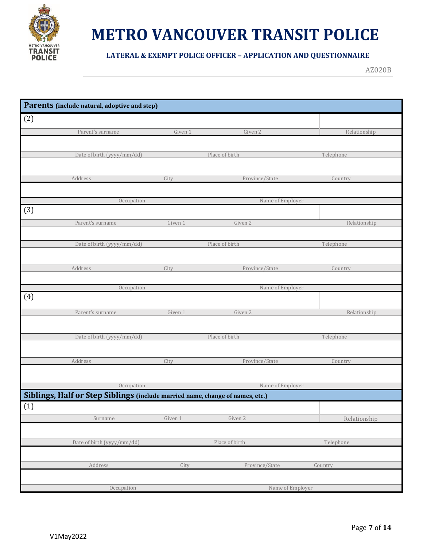

#### **LATERAL & EXEMPT POLICE OFFICER – APPLICATION AND QUESTIONNAIRE**

|     | Parents (include natural, adoptive and step)                                  |         |                  |              |
|-----|-------------------------------------------------------------------------------|---------|------------------|--------------|
| (2) |                                                                               |         |                  |              |
|     | Parent's surname                                                              | Given 1 | Given 2          | Relationship |
|     |                                                                               |         |                  |              |
|     | Date of birth (yyyy/mm/dd)                                                    |         | Place of birth   | Telephone    |
|     |                                                                               |         |                  |              |
|     | Address                                                                       | City    | Province/State   | Country      |
|     |                                                                               |         |                  |              |
|     | Occupation                                                                    |         | Name of Employer |              |
| (3) |                                                                               |         |                  |              |
|     | Parent's surname                                                              | Given 1 | Given 2          | Relationship |
|     |                                                                               |         |                  |              |
|     | Date of birth (yyyy/mm/dd)                                                    |         | Place of birth   | Telephone    |
|     |                                                                               |         |                  |              |
|     | Address                                                                       | City    | Province/State   | Country      |
|     |                                                                               |         |                  |              |
|     | Occupation                                                                    |         | Name of Employer |              |
| (4) |                                                                               |         |                  |              |
|     | Parent's surname                                                              | Given 1 | Given 2          | Relationship |
|     |                                                                               |         |                  |              |
|     | Date of birth (yyyy/mm/dd)                                                    |         | Place of birth   | Telephone    |
|     |                                                                               |         |                  |              |
|     | Address                                                                       | City    | Province/State   | Country      |
|     |                                                                               |         |                  |              |
|     | Occupation                                                                    |         | Name of Employer |              |
|     | Siblings, Half or Step Siblings (include married name, change of names, etc.) |         |                  |              |
| (1) |                                                                               |         |                  |              |
|     | Surname                                                                       | Given 1 | Given 2          | Relationship |
|     |                                                                               |         |                  |              |
|     | Date of birth (yyyy/mm/dd)                                                    |         | Place of birth   | Telephone    |
|     |                                                                               |         |                  |              |
|     | Address                                                                       | City    | Province/State   | Country      |
|     |                                                                               |         |                  |              |
|     | Occupation                                                                    |         | Name of Employer |              |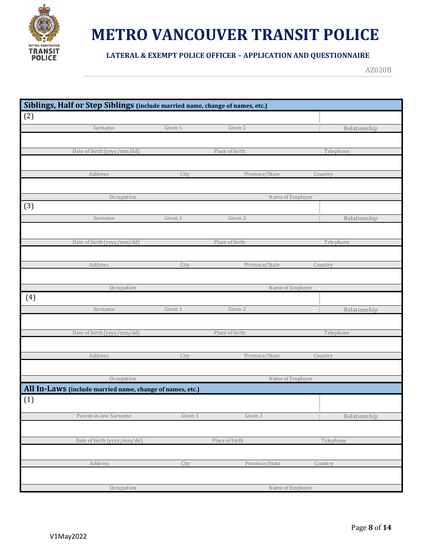

#### **LATERAL & EXEMPT POLICE OFFICER – APPLICATION AND QUESTIONNAIRE**

|     | Siblings, Half or Step Siblings (include married name, change of names, etc.) |         |                  |              |
|-----|-------------------------------------------------------------------------------|---------|------------------|--------------|
| (2) |                                                                               |         |                  |              |
|     | Surname                                                                       | Given 1 | Given 2          | Relationship |
|     |                                                                               |         |                  |              |
|     | Date of birth (yyyy/mm/dd)                                                    |         | Place of birth   | Telephone    |
|     |                                                                               |         |                  |              |
|     | Address                                                                       | City    | Province/State   | Country      |
|     |                                                                               |         |                  |              |
|     | Occupation                                                                    |         | Name of Employer |              |
| (3) |                                                                               |         |                  |              |
|     | Surname                                                                       | Given 1 | Given 2          | Relationship |
|     |                                                                               |         |                  |              |
|     | Date of birth (yyyy/mm/dd)                                                    |         | Place of birth   | Telephone    |
|     |                                                                               |         |                  |              |
|     | Address                                                                       | City    | Province/State   | Country      |
|     |                                                                               |         |                  |              |
|     | Occupation                                                                    |         | Name of Employer |              |
| (4) |                                                                               |         |                  |              |
|     | Surname                                                                       | Given 1 | Given 2          | Relationship |
|     |                                                                               |         |                  |              |
|     | Date of birth (yyyy/mm/dd)                                                    |         | Place of birth   | Telephone    |
|     |                                                                               |         |                  |              |
|     | Address                                                                       | City    | Province/State   | Country      |
|     |                                                                               |         |                  |              |
|     | Occupation                                                                    |         | Name of Employer |              |
|     | All In-Laws (include married name, change of names, etc.)                     |         |                  |              |
| (1) |                                                                               |         |                  |              |
|     | Parent-in-law Surname                                                         | Given 1 | Given 2          | Relationship |
|     |                                                                               |         |                  |              |
|     | Date of birth (yyyy/mm/dd)                                                    |         | Place of birth   | Telephone    |
|     |                                                                               |         |                  |              |
|     | Address                                                                       | City    | Province/State   | Country      |
|     |                                                                               |         |                  |              |
|     | Occupation                                                                    |         | Name of Employer |              |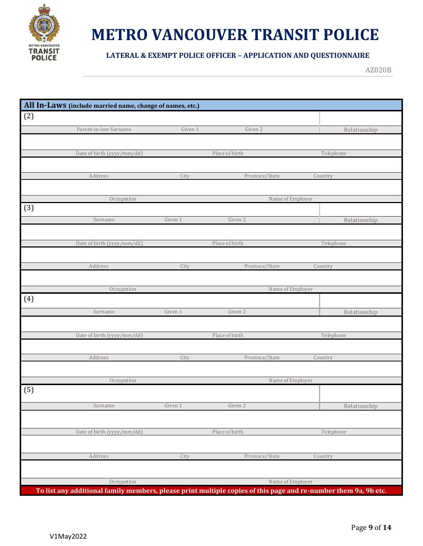

#### **LATERAL & EXEMPT POLICE OFFICER – APPLICATION AND QUESTIONNAIRE**

|     | All In-Laws (include married name, change of names, etc.) |         |                  |                                                                                                                 |
|-----|-----------------------------------------------------------|---------|------------------|-----------------------------------------------------------------------------------------------------------------|
| (2) |                                                           |         |                  |                                                                                                                 |
|     |                                                           |         |                  |                                                                                                                 |
|     | Parent-in-law Surname                                     | Given 1 | Given 2          | Relationship                                                                                                    |
|     |                                                           |         |                  |                                                                                                                 |
|     | Date of birth (yyyy/mm/dd)                                |         | Place of birth   | Telephone                                                                                                       |
|     |                                                           |         |                  |                                                                                                                 |
|     | Address                                                   | City    | Province/State   | Country                                                                                                         |
|     |                                                           |         |                  |                                                                                                                 |
|     |                                                           |         |                  |                                                                                                                 |
|     | Occupation                                                |         | Name of Employer |                                                                                                                 |
| (3) |                                                           |         |                  |                                                                                                                 |
|     | Surname                                                   | Given 1 | Given 2          | Relationship                                                                                                    |
|     |                                                           |         |                  |                                                                                                                 |
|     | Date of birth (yyyy/mm/dd)                                |         | Place of birth   | Telephone                                                                                                       |
|     |                                                           |         |                  |                                                                                                                 |
|     | Address                                                   | City    | Province/State   | Country                                                                                                         |
|     |                                                           |         |                  |                                                                                                                 |
|     |                                                           |         |                  |                                                                                                                 |
|     | Occupation                                                |         | Name of Employer |                                                                                                                 |
| (4) |                                                           |         |                  |                                                                                                                 |
|     | Surname                                                   | Given 1 | Given 2          | Relationship                                                                                                    |
|     |                                                           |         |                  |                                                                                                                 |
|     | Date of birth (yyyy/mm/dd)                                |         | Place of birth   | Telephone                                                                                                       |
|     |                                                           |         |                  |                                                                                                                 |
|     | Address                                                   | City    | Province/State   | Country                                                                                                         |
|     |                                                           |         |                  |                                                                                                                 |
|     |                                                           |         |                  |                                                                                                                 |
|     | Occupation                                                |         | Name of Employer |                                                                                                                 |
| (5) |                                                           |         |                  |                                                                                                                 |
|     | Surname                                                   | Given 1 | Given 2          | Relationship                                                                                                    |
|     |                                                           |         |                  |                                                                                                                 |
|     |                                                           |         |                  |                                                                                                                 |
|     | Date of birth (yyyy/mm/dd)                                |         | Place of birth   | Telephone                                                                                                       |
|     |                                                           |         |                  |                                                                                                                 |
|     | Address                                                   | City    | Province/State   | Country                                                                                                         |
|     |                                                           |         |                  |                                                                                                                 |
|     |                                                           |         |                  |                                                                                                                 |
|     | Occupation                                                |         | Name of Employer |                                                                                                                 |
|     |                                                           |         |                  | To list any additional family members, please print multiple copies of this page and re-number them 9a, 9b etc. |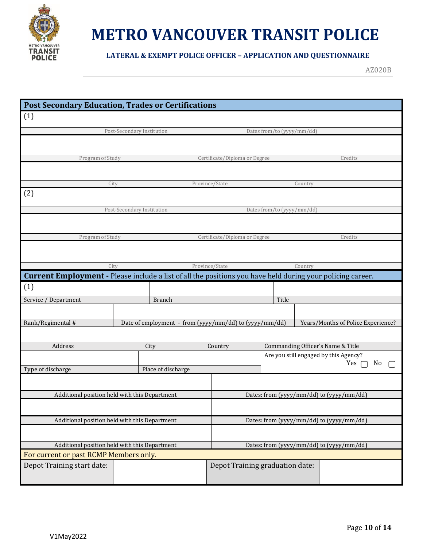

**LATERAL & EXEMPT POLICE OFFICER – APPLICATION AND QUESTIONNAIRE**

|                                                                                                            | <b>Post Secondary Education, Trades or Certifications</b> |                                                        |                                 |                                                             |         |                                          |
|------------------------------------------------------------------------------------------------------------|-----------------------------------------------------------|--------------------------------------------------------|---------------------------------|-------------------------------------------------------------|---------|------------------------------------------|
| (1)                                                                                                        |                                                           |                                                        |                                 |                                                             |         |                                          |
|                                                                                                            | Post-Secondary Institution                                |                                                        |                                 | Dates from/to (yyyy/mm/dd)                                  |         |                                          |
|                                                                                                            |                                                           |                                                        |                                 |                                                             |         |                                          |
| Program of Study                                                                                           |                                                           |                                                        | Certificate/Diploma or Degree   |                                                             |         | Credits                                  |
|                                                                                                            |                                                           |                                                        |                                 |                                                             |         |                                          |
|                                                                                                            | City                                                      |                                                        | Province/State                  |                                                             | Country |                                          |
| (2)                                                                                                        |                                                           |                                                        |                                 |                                                             |         |                                          |
|                                                                                                            | Post-Secondary Institution                                |                                                        |                                 | Dates from/to (yyyy/mm/dd)                                  |         |                                          |
|                                                                                                            |                                                           |                                                        |                                 |                                                             |         |                                          |
| Program of Study                                                                                           |                                                           |                                                        | Certificate/Diploma or Degree   |                                                             |         | Credits                                  |
|                                                                                                            |                                                           |                                                        |                                 |                                                             |         |                                          |
|                                                                                                            | City                                                      |                                                        | Province/State                  |                                                             | Country |                                          |
| Current Employment - Please include a list of all the positions you have held during your policing career. |                                                           |                                                        |                                 |                                                             |         |                                          |
| (1)                                                                                                        |                                                           |                                                        |                                 |                                                             |         |                                          |
| Service / Department                                                                                       |                                                           | <b>Branch</b>                                          |                                 | Title                                                       |         |                                          |
|                                                                                                            |                                                           |                                                        |                                 |                                                             |         |                                          |
| Rank/Regimental #                                                                                          |                                                           | Date of employment - from (yyyy/mm/dd) to (yyyy/mm/dd) |                                 |                                                             |         | Years/Months of Police Experience?       |
|                                                                                                            |                                                           |                                                        |                                 |                                                             |         |                                          |
| Address                                                                                                    |                                                           | City                                                   | Country                         | Commanding Officer's Name & Title                           |         |                                          |
|                                                                                                            |                                                           |                                                        |                                 | Are you still engaged by this Agency?<br>Yes $\Gamma$<br>No |         |                                          |
| Type of discharge                                                                                          |                                                           | Place of discharge                                     |                                 |                                                             |         |                                          |
|                                                                                                            |                                                           |                                                        |                                 |                                                             |         |                                          |
| Additional position held with this Department                                                              |                                                           |                                                        |                                 |                                                             |         | Dates: from (yyyy/mm/dd) to (yyyy/mm/dd) |
|                                                                                                            |                                                           |                                                        |                                 |                                                             |         |                                          |
| Additional position held with this Department                                                              |                                                           |                                                        |                                 |                                                             |         | Dates: from (yyyy/mm/dd) to (yyyy/mm/dd) |
|                                                                                                            |                                                           |                                                        |                                 |                                                             |         |                                          |
| Additional position held with this Department                                                              |                                                           |                                                        |                                 |                                                             |         | Dates: from (yyyy/mm/dd) to (yyyy/mm/dd) |
| For current or past RCMP Members only.                                                                     |                                                           |                                                        |                                 |                                                             |         |                                          |
| Depot Training start date:                                                                                 |                                                           |                                                        | Depot Training graduation date: |                                                             |         |                                          |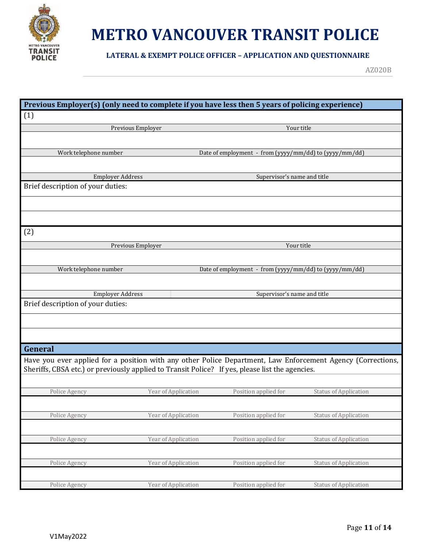

**LATERAL & EXEMPT POLICE OFFICER – APPLICATION AND QUESTIONNAIRE**

|                                   |                     | Previous Employer(s) (only need to complete if you have less then 5 years of policing experience)           |                              |
|-----------------------------------|---------------------|-------------------------------------------------------------------------------------------------------------|------------------------------|
| (1)                               |                     |                                                                                                             |                              |
|                                   | Previous Employer   |                                                                                                             | Your title                   |
|                                   |                     |                                                                                                             |                              |
| Work telephone number             |                     | Date of employment - from (yyyy/mm/dd) to (yyyy/mm/dd)                                                      |                              |
|                                   |                     |                                                                                                             |                              |
| <b>Employer Address</b>           |                     | Supervisor's name and title                                                                                 |                              |
| Brief description of your duties: |                     |                                                                                                             |                              |
|                                   |                     |                                                                                                             |                              |
|                                   |                     |                                                                                                             |                              |
| (2)                               |                     |                                                                                                             |                              |
|                                   | Previous Employer   |                                                                                                             | Your title                   |
|                                   |                     |                                                                                                             |                              |
| Work telephone number             |                     | Date of employment - from (yyyy/mm/dd) to (yyyy/mm/dd)                                                      |                              |
|                                   |                     |                                                                                                             |                              |
| <b>Employer Address</b>           |                     | Supervisor's name and title                                                                                 |                              |
| Brief description of your duties: |                     |                                                                                                             |                              |
|                                   |                     |                                                                                                             |                              |
|                                   |                     |                                                                                                             |                              |
| General                           |                     |                                                                                                             |                              |
|                                   |                     | Have you ever applied for a position with any other Police Department, Law Enforcement Agency (Corrections, |                              |
|                                   |                     | Sheriffs, CBSA etc.) or previously applied to Transit Police? If yes, please list the agencies.             |                              |
|                                   |                     |                                                                                                             |                              |
| Police Agency                     | Year of Application | Position applied for                                                                                        | <b>Status of Application</b> |
|                                   |                     |                                                                                                             |                              |
| Police Agency                     | Year of Application | Position applied for                                                                                        | <b>Status of Application</b> |
|                                   |                     |                                                                                                             |                              |
| Police Agency                     | Year of Application | Position applied for                                                                                        | <b>Status of Application</b> |
|                                   |                     |                                                                                                             |                              |
| Police Agency                     | Year of Application | Position applied for                                                                                        | <b>Status of Application</b> |
|                                   |                     |                                                                                                             |                              |
| Police Agency                     | Year of Application | Position applied for                                                                                        | <b>Status of Application</b> |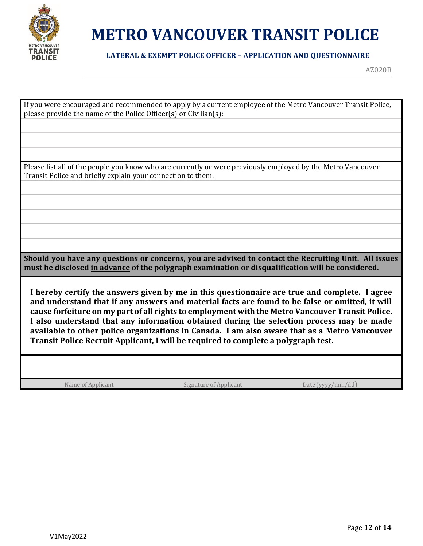

#### **LATERAL & EXEMPT POLICE OFFICER – APPLICATION AND QUESTIONNAIRE**

| If you were encouraged and recommended to apply by a current employee of the Metro Vancouver Transit Police,<br>please provide the name of the Police Officer(s) or Civilian(s):                                                                                                                                                                                                                                                                                                                                                                                                       |  |
|----------------------------------------------------------------------------------------------------------------------------------------------------------------------------------------------------------------------------------------------------------------------------------------------------------------------------------------------------------------------------------------------------------------------------------------------------------------------------------------------------------------------------------------------------------------------------------------|--|
|                                                                                                                                                                                                                                                                                                                                                                                                                                                                                                                                                                                        |  |
|                                                                                                                                                                                                                                                                                                                                                                                                                                                                                                                                                                                        |  |
| Please list all of the people you know who are currently or were previously employed by the Metro Vancouver<br>Transit Police and briefly explain your connection to them.                                                                                                                                                                                                                                                                                                                                                                                                             |  |
|                                                                                                                                                                                                                                                                                                                                                                                                                                                                                                                                                                                        |  |
|                                                                                                                                                                                                                                                                                                                                                                                                                                                                                                                                                                                        |  |
|                                                                                                                                                                                                                                                                                                                                                                                                                                                                                                                                                                                        |  |
|                                                                                                                                                                                                                                                                                                                                                                                                                                                                                                                                                                                        |  |
|                                                                                                                                                                                                                                                                                                                                                                                                                                                                                                                                                                                        |  |
| Should you have any questions or concerns, you are advised to contact the Recruiting Unit. All issues<br>must be disclosed in advance of the polygraph examination or disqualification will be considered.                                                                                                                                                                                                                                                                                                                                                                             |  |
| I hereby certify the answers given by me in this questionnaire are true and complete. I agree<br>and understand that if any answers and material facts are found to be false or omitted, it will<br>cause forfeiture on my part of all rights to employment with the Metro Vancouver Transit Police.<br>I also understand that any information obtained during the selection process may be made<br>available to other police organizations in Canada. I am also aware that as a Metro Vancouver<br>Transit Police Recruit Applicant, I will be required to complete a polygraph test. |  |
|                                                                                                                                                                                                                                                                                                                                                                                                                                                                                                                                                                                        |  |
| Name of Applicant<br>Date (yyyy/mm/dd<br>Signature of Applicant                                                                                                                                                                                                                                                                                                                                                                                                                                                                                                                        |  |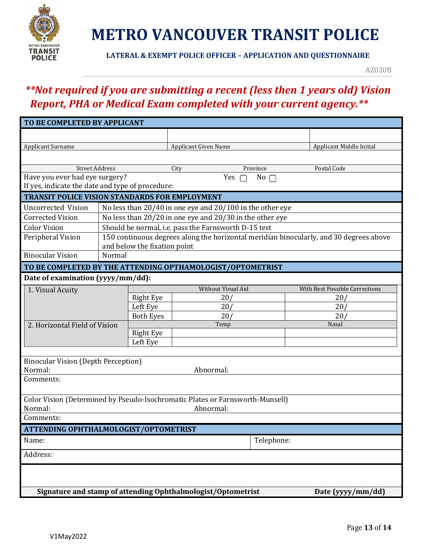

**LATERAL & EXEMPT POLICE OFFICER – APPLICATION AND QUESTIONNAIRE**

AZ020B

### *\*\*Not required if you are submitting a recent (less then 1 years old) Vision Report, PHA or Medical Exam completed with your current agency.\*\**

| TO BE COMPLETED BY APPLICANT                                                      |                                                    |                              |                                                      |                                                           |  |                                                                                        |
|-----------------------------------------------------------------------------------|----------------------------------------------------|------------------------------|------------------------------------------------------|-----------------------------------------------------------|--|----------------------------------------------------------------------------------------|
|                                                                                   |                                                    |                              |                                                      |                                                           |  |                                                                                        |
| <b>Applicant Surname</b>                                                          | <b>Applicant Given Name</b>                        |                              |                                                      |                                                           |  | Applicant Middle Initial                                                               |
|                                                                                   |                                                    |                              |                                                      |                                                           |  |                                                                                        |
| <b>Street Address</b>                                                             |                                                    |                              | City                                                 | Province                                                  |  | Postal Code                                                                            |
|                                                                                   | Have you ever had eye surgery?<br>Yes<br>$No \cap$ |                              |                                                      |                                                           |  |                                                                                        |
| If yes, indicate the date and type of procedure:                                  |                                                    |                              |                                                      |                                                           |  |                                                                                        |
| <b>TRANSIT POLICE VISION STANDARDS FOR EMPLOYMENT</b>                             |                                                    |                              |                                                      |                                                           |  |                                                                                        |
| Uncorrected Vision                                                                |                                                    |                              |                                                      | No less than 20/40 in one eye and 20/100 in the other eye |  |                                                                                        |
| <b>Corrected Vision</b>                                                           |                                                    |                              |                                                      | No less than 20/20 in one eye and 20/30 in the other eye  |  |                                                                                        |
| <b>Color Vision</b>                                                               |                                                    |                              | Should be normal, i.e. pass the Farnsworth D-15 test |                                                           |  |                                                                                        |
| Peripheral Vision                                                                 |                                                    |                              |                                                      |                                                           |  | 150 continuous degrees along the horizontal meridian binocularly, and 30 degrees above |
|                                                                                   |                                                    | and below the fixation point |                                                      |                                                           |  |                                                                                        |
| <b>Binocular Vision</b>                                                           | Normal                                             |                              |                                                      |                                                           |  |                                                                                        |
| TO BE COMPLETED BY THE ATTENDING OPTHAMOLOGIST/OPTOMETRIST                        |                                                    |                              |                                                      |                                                           |  |                                                                                        |
| Date of examination (yyyy/mm/dd):                                                 |                                                    |                              |                                                      |                                                           |  |                                                                                        |
| 1. Visual Acuity                                                                  |                                                    |                              |                                                      | <b>Without Visual Aid</b>                                 |  | With Best Possible Corrections                                                         |
|                                                                                   |                                                    | <b>Right Eye</b>             | 20/                                                  |                                                           |  | 20 <sub>l</sub>                                                                        |
|                                                                                   |                                                    | Left Eye                     | 20/                                                  |                                                           |  | 20 <sub>l</sub>                                                                        |
|                                                                                   |                                                    | <b>Both Eyes</b>             |                                                      | 20/                                                       |  | 20 <sub>l</sub>                                                                        |
| 2. Horizontal Field of Vision                                                     |                                                    |                              | Temp                                                 |                                                           |  | Nasal                                                                                  |
|                                                                                   |                                                    | <b>Right Eye</b><br>Left Eye |                                                      |                                                           |  |                                                                                        |
|                                                                                   |                                                    |                              |                                                      |                                                           |  |                                                                                        |
| <b>Binocular Vision (Depth Perception)</b>                                        |                                                    |                              |                                                      |                                                           |  |                                                                                        |
| Normal:                                                                           |                                                    |                              | Abnormal:                                            |                                                           |  |                                                                                        |
| Comments:                                                                         |                                                    |                              |                                                      |                                                           |  |                                                                                        |
|                                                                                   |                                                    |                              |                                                      |                                                           |  |                                                                                        |
| Color Vision (Determined by Pseudo-Isochromatic Plates or Farnsworth-Munsell)     |                                                    |                              |                                                      |                                                           |  |                                                                                        |
| Normal:                                                                           |                                                    |                              | Abnormal:                                            |                                                           |  |                                                                                        |
| Comments:                                                                         |                                                    |                              |                                                      |                                                           |  |                                                                                        |
| ATTENDING OPHTHALMOLOGIST/OPTOMETRIST                                             |                                                    |                              |                                                      |                                                           |  |                                                                                        |
| Telephone:<br>Name:                                                               |                                                    |                              |                                                      |                                                           |  |                                                                                        |
| Address:                                                                          |                                                    |                              |                                                      |                                                           |  |                                                                                        |
|                                                                                   |                                                    |                              |                                                      |                                                           |  |                                                                                        |
|                                                                                   |                                                    |                              |                                                      |                                                           |  |                                                                                        |
| Signature and stamp of attending Ophthalmologist/Optometrist<br>Date (yyyy/mm/dd) |                                                    |                              |                                                      |                                                           |  |                                                                                        |